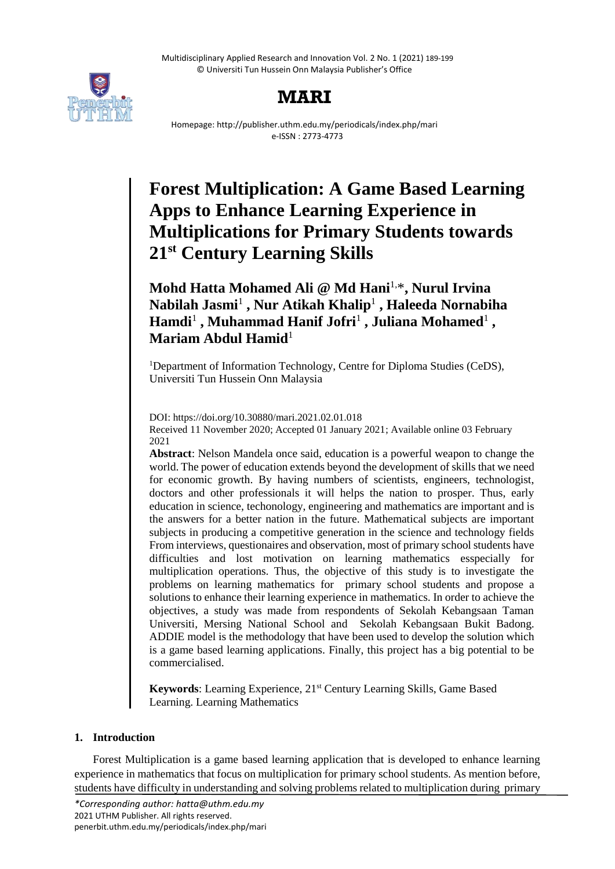Multidisciplinary Applied Research and Innovation Vol. 2 No. 1 (2021) 189-199 © Universiti Tun Hussein Onn Malaysia Publisher's Office



## **MARI**

Homepage: http://publisher.uthm.edu.my/periodicals/index.php/mari e-ISSN : 2773-4773

# **Forest Multiplication: A Game Based Learning Apps to Enhance Learning Experience in Multiplications for Primary Students towards 21st Century Learning Skills**

**Mohd Hatta Mohamed Ali @ Md Hani**1,\***, Nurul Irvina Nabilah Jasmi**<sup>1</sup> **, Nur Atikah Khalip**<sup>1</sup> **, Haleeda Nornabiha Hamdi**<sup>1</sup> **, Muhammad Hanif Jofri**<sup>1</sup> **, Juliana Mohamed**<sup>1</sup> **, Mariam Abdul Hamid**<sup>1</sup>

<sup>1</sup>Department of Information Technology, Centre for Diploma Studies (CeDS), Universiti Tun Hussein Onn Malaysia

DOI: https://doi.org/10.30880/mari.2021.02.01.018 Received 11 November 2020; Accepted 01 January 2021; Available online 03 February 2021

**Abstract**: Nelson Mandela once said, education is a powerful weapon to change the world. The power of education extends beyond the development of skills that we need for economic growth. By having numbers of scientists, engineers, technologist, doctors and other professionals it will helps the nation to prosper. Thus, early education in science, techonology, engineering and mathematics are important and is the answers for a better nation in the future. Mathematical subjects are important subjects in producing a competitive generation in the science and technology fields From interviews, questionaires and observation, most of primary school students have difficulties and lost motivation on learning mathematics esspecially for multiplication operations. Thus, the objective of this study is to investigate the problems on learning mathematics for primary school students and propose a solutions to enhance their learning experience in mathematics. In order to achieve the objectives, a study was made from respondents of Sekolah Kebangsaan Taman Universiti, Mersing National School and Sekolah Kebangsaan Bukit Badong. ADDIE model is the methodology that have been used to develop the solution which is a game based learning applications. Finally, this project has a big potential to be commercialised.

Keywords: Learning Experience, 21<sup>st</sup> Century Learning Skills, Game Based Learning. Learning Mathematics

## **1. Introduction**

Forest Multiplication is a game based learning application that is developed to enhance learning experience in mathematics that focus on multiplication for primary school students. As mention before, students have difficulty in understanding and solving problems related to multiplication during primary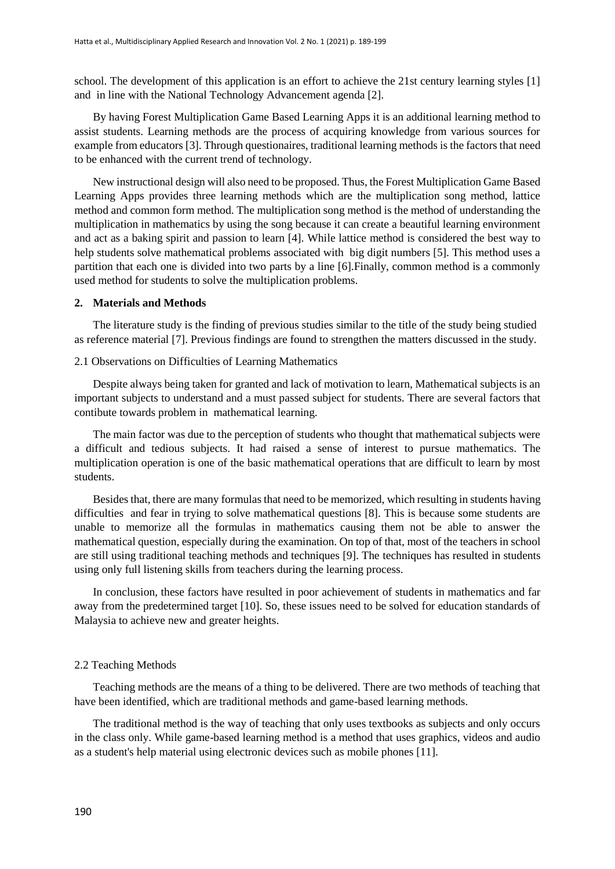school. The development of this application is an effort to achieve the 21st century learning styles [1] and in line with the National Technology Advancement agenda [2].

By having Forest Multiplication Game Based Learning Apps it is an additional learning method to assist students. Learning methods are the process of acquiring knowledge from various sources for example from educators [3]. Through questionaires, traditional learning methods is the factors that need to be enhanced with the current trend of technology.

New instructional design will also need to be proposed. Thus, the Forest Multiplication Game Based Learning Apps provides three learning methods which are the multiplication song method, lattice method and common form method. The multiplication song method is the method of understanding the multiplication in mathematics by using the song because it can create a beautiful learning environment and act as a baking spirit and passion to learn [4]. While lattice method is considered the best way to help students solve mathematical problems associated with big digit numbers [5]. This method uses a partition that each one is divided into two parts by a line [6].Finally, common method is a commonly used method for students to solve the multiplication problems.

#### **2. Materials and Methods**

The literature study is the finding of previous studies similar to the title of the study being studied as reference material [7]. Previous findings are found to strengthen the matters discussed in the study.

#### 2.1 Observations on Difficulties of Learning Mathematics

Despite always being taken for granted and lack of motivation to learn, Mathematical subjects is an important subjects to understand and a must passed subject for students. There are several factors that contibute towards problem in mathematical learning.

The main factor was due to the perception of students who thought that mathematical subjects were a difficult and tedious subjects. It had raised a sense of interest to pursue mathematics. The multiplication operation is one of the basic mathematical operations that are difficult to learn by most students.

Besides that, there are many formulas that need to be memorized, which resulting in students having difficulties and fear in trying to solve mathematical questions [8]. This is because some students are unable to memorize all the formulas in mathematics causing them not be able to answer the mathematical question, especially during the examination. On top of that, most of the teachers in school are still using traditional teaching methods and techniques [9]. The techniques has resulted in students using only full listening skills from teachers during the learning process.

In conclusion, these factors have resulted in poor achievement of students in mathematics and far away from the predetermined target [10]. So, these issues need to be solved for education standards of Malaysia to achieve new and greater heights.

#### 2.2 Teaching Methods

Teaching methods are the means of a thing to be delivered. There are two methods of teaching that have been identified, which are traditional methods and game-based learning methods.

The traditional method is the way of teaching that only uses textbooks as subjects and only occurs in the class only. While game-based learning method is a method that uses graphics, videos and audio as a student's help material using electronic devices such as mobile phones [11].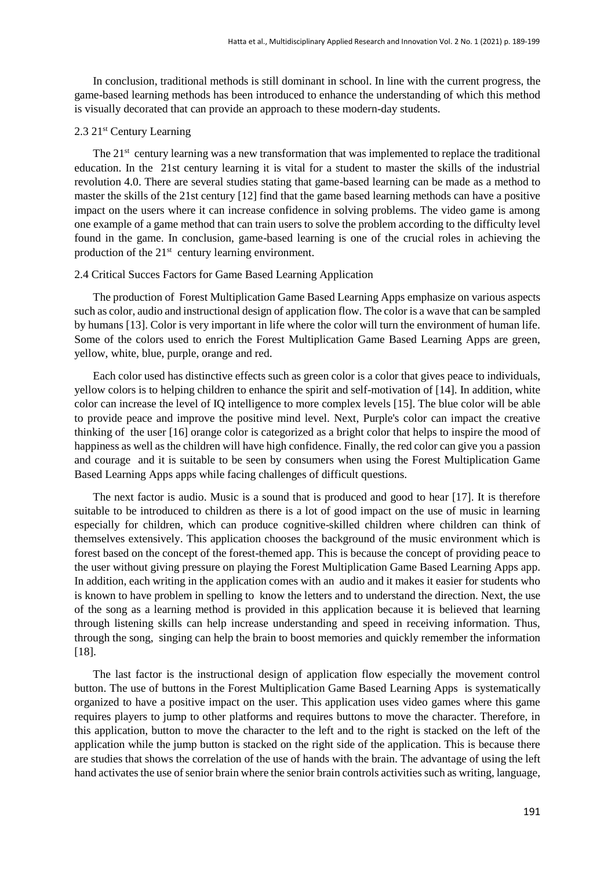In conclusion, traditional methods is still dominant in school. In line with the current progress, the game-based learning methods has been introduced to enhance the understanding of which this method is visually decorated that can provide an approach to these modern-day students.

## 2.3 21st Century Learning

The  $21<sup>st</sup>$  century learning was a new transformation that was implemented to replace the traditional education. In the 21st century learning it is vital for a student to master the skills of the industrial revolution 4.0. There are several studies stating that game-based learning can be made as a method to master the skills of the 21st century [12] find that the game based learning methods can have a positive impact on the users where it can increase confidence in solving problems. The video game is among one example of a game method that can train users to solve the problem according to the difficulty level found in the game. In conclusion, game-based learning is one of the crucial roles in achieving the production of the 21<sup>st</sup> century learning environment.

#### 2.4 Critical Succes Factors for Game Based Learning Application

The production of Forest Multiplication Game Based Learning Apps emphasize on various aspects such as color, audio and instructional design of application flow. The color is a wave that can be sampled by humans [13]. Color is very important in life where the color will turn the environment of human life. Some of the colors used to enrich the Forest Multiplication Game Based Learning Apps are green, yellow, white, blue, purple, orange and red.

Each color used has distinctive effects such as green color is a color that gives peace to individuals, yellow colors is to helping children to enhance the spirit and self-motivation of [14]. In addition, white color can increase the level of IQ intelligence to more complex levels [15]. The blue color will be able to provide peace and improve the positive mind level. Next, Purple's color can impact the creative thinking of the user [16] orange color is categorized as a bright color that helps to inspire the mood of happiness as well as the children will have high confidence. Finally, the red color can give you a passion and courage and it is suitable to be seen by consumers when using the Forest Multiplication Game Based Learning Apps apps while facing challenges of difficult questions.

The next factor is audio. Music is a sound that is produced and good to hear [17]. It is therefore suitable to be introduced to children as there is a lot of good impact on the use of music in learning especially for children, which can produce cognitive-skilled children where children can think of themselves extensively. This application chooses the background of the music environment which is forest based on the concept of the forest-themed app. This is because the concept of providing peace to the user without giving pressure on playing the Forest Multiplication Game Based Learning Apps app. In addition, each writing in the application comes with an audio and it makes it easier for students who is known to have problem in spelling to know the letters and to understand the direction. Next, the use of the song as a learning method is provided in this application because it is believed that learning through listening skills can help increase understanding and speed in receiving information. Thus, through the song, singing can help the brain to boost memories and quickly remember the information [18].

The last factor is the instructional design of application flow especially the movement control button. The use of buttons in the Forest Multiplication Game Based Learning Apps is systematically organized to have a positive impact on the user. This application uses video games where this game requires players to jump to other platforms and requires buttons to move the character. Therefore, in this application, button to move the character to the left and to the right is stacked on the left of the application while the jump button is stacked on the right side of the application. This is because there are studies that shows the correlation of the use of hands with the brain. The advantage of using the left hand activates the use of senior brain where the senior brain controls activities such as writing, language,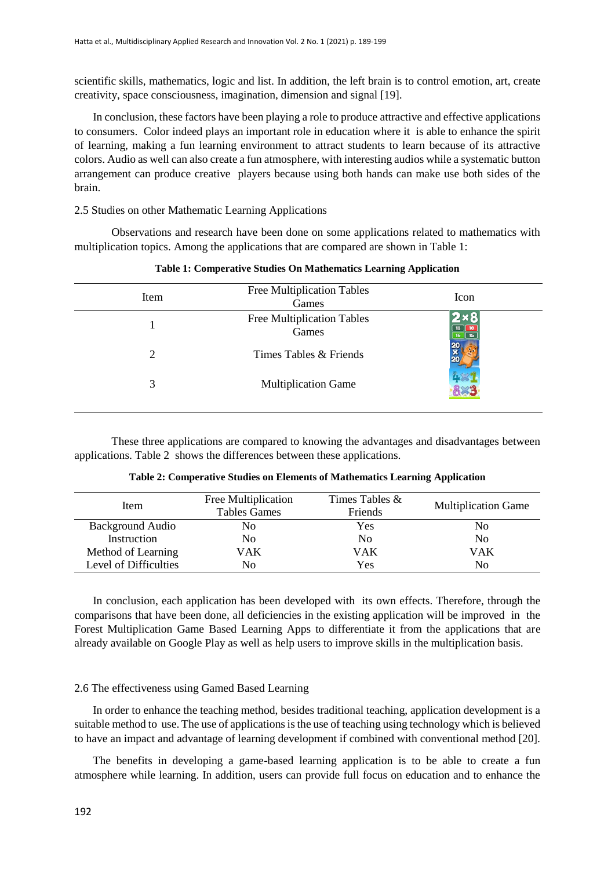scientific skills, mathematics, logic and list. In addition, the left brain is to control emotion, art, create creativity, space consciousness, imagination, dimension and signal [19].

In conclusion, these factors have been playing a role to produce attractive and effective applications to consumers. Color indeed plays an important role in education where it is able to enhance the spirit of learning, making a fun learning environment to attract students to learn because of its attractive colors. Audio as well can also create a fun atmosphere, with interesting audios while a systematic button arrangement can produce creative players because using both hands can make use both sides of the brain.

## 2.5 Studies on other Mathematic Learning Applications

Observations and research have been done on some applications related to mathematics with multiplication topics. Among the applications that are compared are shown in Table 1:

| Item | <b>Free Multiplication Tables</b><br>Games | Icon |
|------|--------------------------------------------|------|
|      | <b>Free Multiplication Tables</b><br>Games |      |
| 2    | Times Tables & Friends                     |      |
| 3    | <b>Multiplication Game</b>                 |      |
|      |                                            |      |

#### **Table 1: Comperative Studies On Mathematics Learning Application**

These three applications are compared to knowing the advantages and disadvantages between applications. Table 2 shows the differences between these applications.

| Item                    | Free Multiplication<br><b>Tables Games</b> | Times Tables &<br>Friends | <b>Multiplication Game</b> |
|-------------------------|--------------------------------------------|---------------------------|----------------------------|
| <b>Background Audio</b> | No                                         | Yes                       | No                         |
| Instruction             | No                                         | N <sub>0</sub>            | No                         |
| Method of Learning      | VAK                                        | VAK                       | VAK                        |
| Level of Difficulties   | No                                         | Yes                       | No                         |

**Table 2: Comperative Studies on Elements of Mathematics Learning Application**

In conclusion, each application has been developed with its own effects. Therefore, through the comparisons that have been done, all deficiencies in the existing application will be improved in the Forest Multiplication Game Based Learning Apps to differentiate it from the applications that are already available on Google Play as well as help users to improve skills in the multiplication basis.

#### 2.6 The effectiveness using Gamed Based Learning

In order to enhance the teaching method, besides traditional teaching, application development is a suitable method to use. The use of applications is the use of teaching using technology which is believed to have an impact and advantage of learning development if combined with conventional method [20].

The benefits in developing a game-based learning application is to be able to create a fun atmosphere while learning. In addition, users can provide full focus on education and to enhance the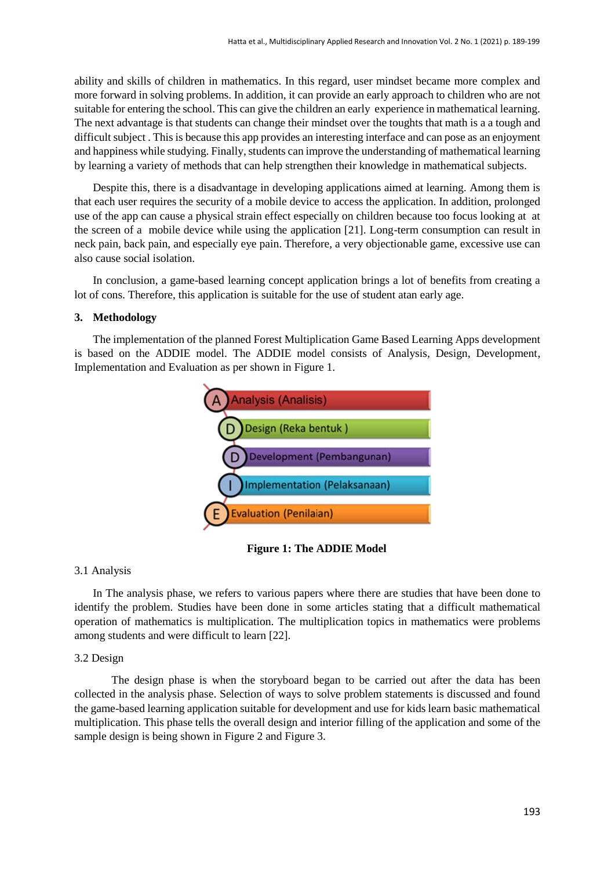ability and skills of children in mathematics. In this regard, user mindset became more complex and more forward in solving problems. In addition, it can provide an early approach to children who are not suitable for entering the school. This can give the children an early experience in mathematical learning. The next advantage is that students can change their mindset over the toughts that math is a a tough and difficult subject . This is because this app provides an interesting interface and can pose as an enjoyment and happiness while studying. Finally, students can improve the understanding of mathematical learning by learning a variety of methods that can help strengthen their knowledge in mathematical subjects.

Despite this, there is a disadvantage in developing applications aimed at learning. Among them is that each user requires the security of a mobile device to access the application. In addition, prolonged use of the app can cause a physical strain effect especially on children because too focus looking at at the screen of a mobile device while using the application [21]. Long-term consumption can result in neck pain, back pain, and especially eye pain. Therefore, a very objectionable game, excessive use can also cause social isolation.

In conclusion, a game-based learning concept application brings a lot of benefits from creating a lot of cons. Therefore, this application is suitable for the use of student atan early age.

#### **3. Methodology**

The implementation of the planned Forest Multiplication Game Based Learning Apps development is based on the ADDIE model. The ADDIE model consists of Analysis, Design, Development, Implementation and Evaluation as per shown in Figure 1.



**Figure 1: The ADDIE Model**

## 3.1 Analysis

In The analysis phase, we refers to various papers where there are studies that have been done to identify the problem. Studies have been done in some articles stating that a difficult mathematical operation of mathematics is multiplication. The multiplication topics in mathematics were problems among students and were difficult to learn [22].

#### 3.2 Design

The design phase is when the storyboard began to be carried out after the data has been collected in the analysis phase. Selection of ways to solve problem statements is discussed and found the game-based learning application suitable for development and use for kids learn basic mathematical multiplication. This phase tells the overall design and interior filling of the application and some of the sample design is being shown in Figure 2 and Figure 3.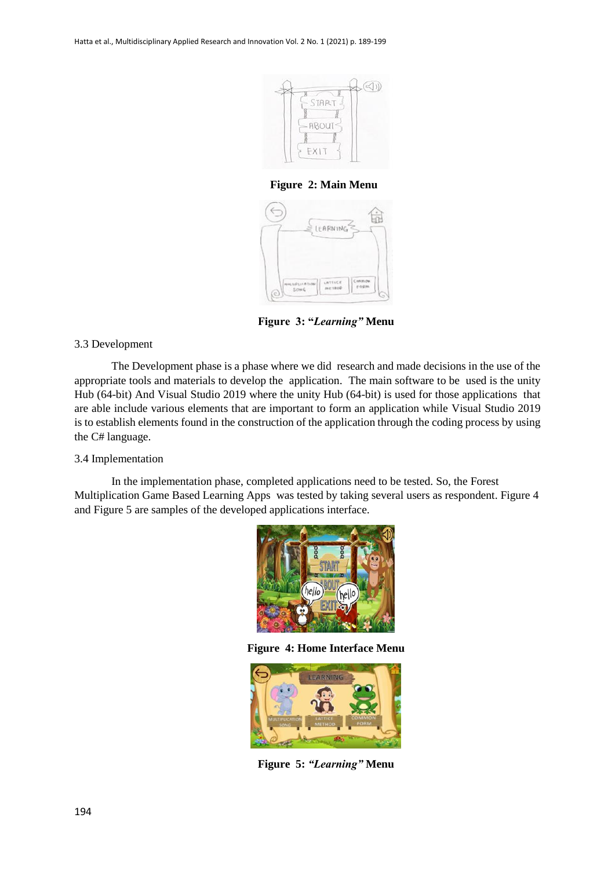

**Figure 2: Main Menu**



**Figure 3: "***Learning"* **Menu** 

## 3.3 Development

The Development phase is a phase where we did research and made decisions in the use of the appropriate tools and materials to develop the application. The main software to be used is the unity Hub (64-bit) And Visual Studio 2019 where the unity Hub (64-bit) is used for those applications that are able include various elements that are important to form an application while Visual Studio 2019 is to establish elements found in the construction of the application through the coding process by using the C# language.

## 3.4 Implementation

In the implementation phase, completed applications need to be tested. So, the Forest Multiplication Game Based Learning Apps was tested by taking several users as respondent. Figure 4 and Figure 5 are samples of the developed applications interface.



**Figure 4: Home Interface Menu**



**Figure 5:** *"Learning"* **Menu**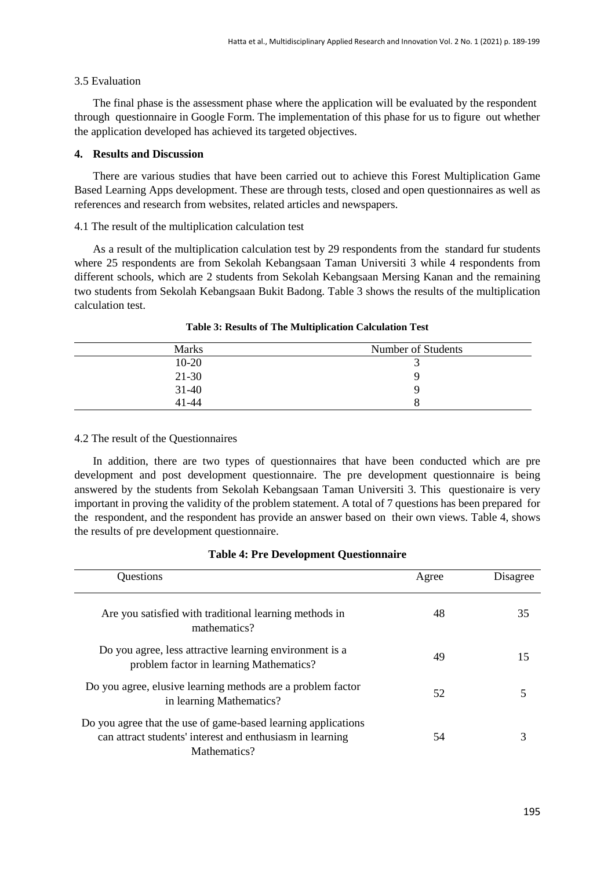## 3.5 Evaluation

The final phase is the assessment phase where the application will be evaluated by the respondent through questionnaire in Google Form. The implementation of this phase for us to figure out whether the application developed has achieved its targeted objectives.

### **4. Results and Discussion**

There are various studies that have been carried out to achieve this Forest Multiplication Game Based Learning Apps development. These are through tests, closed and open questionnaires as well as references and research from websites, related articles and newspapers.

## 4.1 The result of the multiplication calculation test

As a result of the multiplication calculation test by 29 respondents from the standard fur students where 25 respondents are from Sekolah Kebangsaan Taman Universiti 3 while 4 respondents from different schools, which are 2 students from Sekolah Kebangsaan Mersing Kanan and the remaining two students from Sekolah Kebangsaan Bukit Badong. Table 3 shows the results of the multiplication calculation test.

| <b>Marks</b> | Number of Students |
|--------------|--------------------|
| $10 - 20$    |                    |
| $21-30$      |                    |
| $31 - 40$    |                    |
| $41 - 44$    |                    |

## **Table 3: Results of The Multiplication Calculation Test**

#### 4.2 The result of the Questionnaires

In addition, there are two types of questionnaires that have been conducted which are pre development and post development questionnaire. The pre development questionnaire is being answered by the students from Sekolah Kebangsaan Taman Universiti 3. This questionaire is very important in proving the validity of the problem statement. A total of 7 questions has been prepared for the respondent, and the respondent has provide an answer based on their own views. Table 4, shows the results of pre development questionnaire.

| Questions                                                                                                                                  | Agree | Disagree |
|--------------------------------------------------------------------------------------------------------------------------------------------|-------|----------|
| Are you satisfied with traditional learning methods in<br>mathematics?                                                                     | 48    | 35       |
| Do you agree, less attractive learning environment is a<br>problem factor in learning Mathematics?                                         | 49    | 15       |
| Do you agree, elusive learning methods are a problem factor<br>in learning Mathematics?                                                    | 52    |          |
| Do you agree that the use of game-based learning applications<br>can attract students' interest and enthusiasm in learning<br>Mathematics? | 54    |          |

#### **Table 4: Pre Development Questionnaire**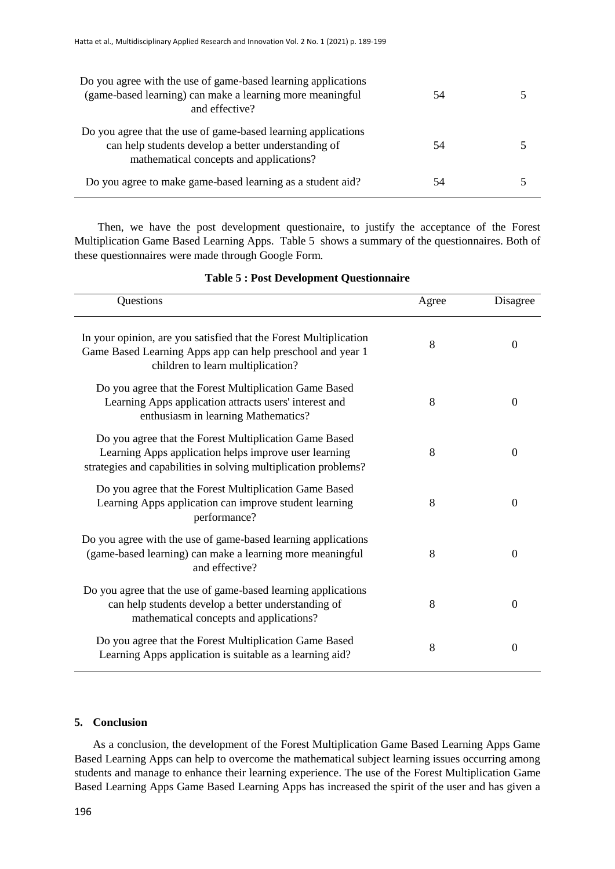| Do you agree with the use of game-based learning applications<br>(game-based learning) can make a learning more meaningful<br>and effective?                    | 54 |  |
|-----------------------------------------------------------------------------------------------------------------------------------------------------------------|----|--|
| Do you agree that the use of game-based learning applications<br>can help students develop a better understanding of<br>mathematical concepts and applications? | 54 |  |
| Do you agree to make game-based learning as a student aid?                                                                                                      | 54 |  |

Then, we have the post development questionaire, to justify the acceptance of the Forest Multiplication Game Based Learning Apps. Table 5 shows a summary of the questionnaires. Both of these questionnaires were made through Google Form.

| Questions                                                                                                                                                                          | Agree | Disagree         |
|------------------------------------------------------------------------------------------------------------------------------------------------------------------------------------|-------|------------------|
| In your opinion, are you satisfied that the Forest Multiplication<br>Game Based Learning Apps app can help preschool and year 1<br>children to learn multiplication?               | 8     | $\overline{0}$   |
| Do you agree that the Forest Multiplication Game Based<br>Learning Apps application attracts users' interest and<br>enthusiasm in learning Mathematics?                            | 8     | $\theta$         |
| Do you agree that the Forest Multiplication Game Based<br>Learning Apps application helps improve user learning<br>strategies and capabilities in solving multiplication problems? | 8     | $\theta$         |
| Do you agree that the Forest Multiplication Game Based<br>Learning Apps application can improve student learning<br>performance?                                                   | 8     | $\Omega$         |
| Do you agree with the use of game-based learning applications<br>(game-based learning) can make a learning more meaningful<br>and effective?                                       | 8     | $\boldsymbol{0}$ |
| Do you agree that the use of game-based learning applications<br>can help students develop a better understanding of<br>mathematical concepts and applications?                    | 8     | $\theta$         |
| Do you agree that the Forest Multiplication Game Based<br>Learning Apps application is suitable as a learning aid?                                                                 | 8     | $\theta$         |

### **Table 5 : Post Development Questionnaire**

#### **5. Conclusion**

As a conclusion, the development of the Forest Multiplication Game Based Learning Apps Game Based Learning Apps can help to overcome the mathematical subject learning issues occurring among students and manage to enhance their learning experience. The use of the Forest Multiplication Game Based Learning Apps Game Based Learning Apps has increased the spirit of the user and has given a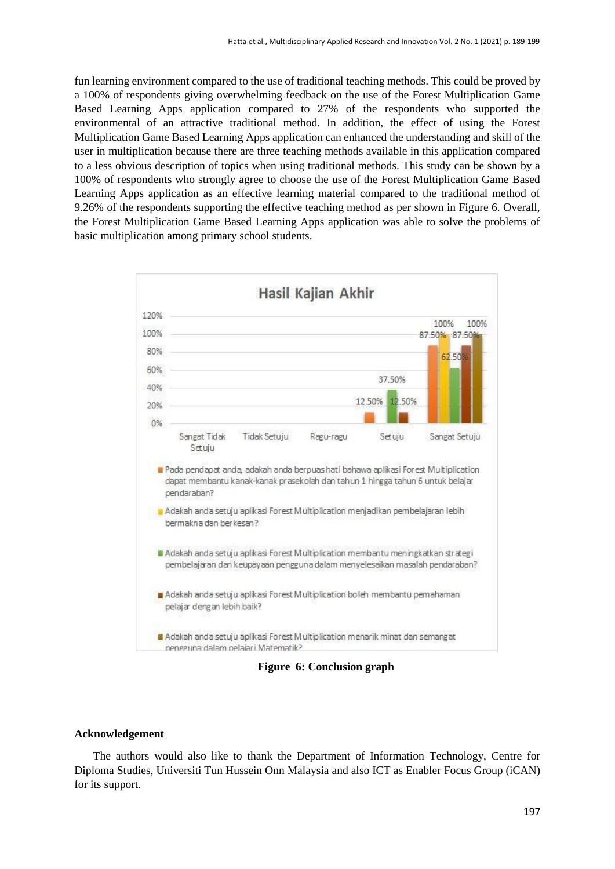fun learning environment compared to the use of traditional teaching methods. This could be proved by a 100% of respondents giving overwhelming feedback on the use of the Forest Multiplication Game Based Learning Apps application compared to 27% of the respondents who supported the environmental of an attractive traditional method. In addition, the effect of using the Forest Multiplication Game Based Learning Apps application can enhanced the understanding and skill of the user in multiplication because there are three teaching methods available in this application compared to a less obvious description of topics when using traditional methods. This study can be shown by a 100% of respondents who strongly agree to choose the use of the Forest Multiplication Game Based Learning Apps application as an effective learning material compared to the traditional method of 9.26% of the respondents supporting the effective teaching method as per shown in Figure 6. Overall, the Forest Multiplication Game Based Learning Apps application was able to solve the problems of basic multiplication among primary school students.



**Figure 6: Conclusion graph**

## **Acknowledgement**

The authors would also like to thank the Department of Information Technology, Centre for Diploma Studies, Universiti Tun Hussein Onn Malaysia and also ICT as Enabler Focus Group (iCAN) for its support.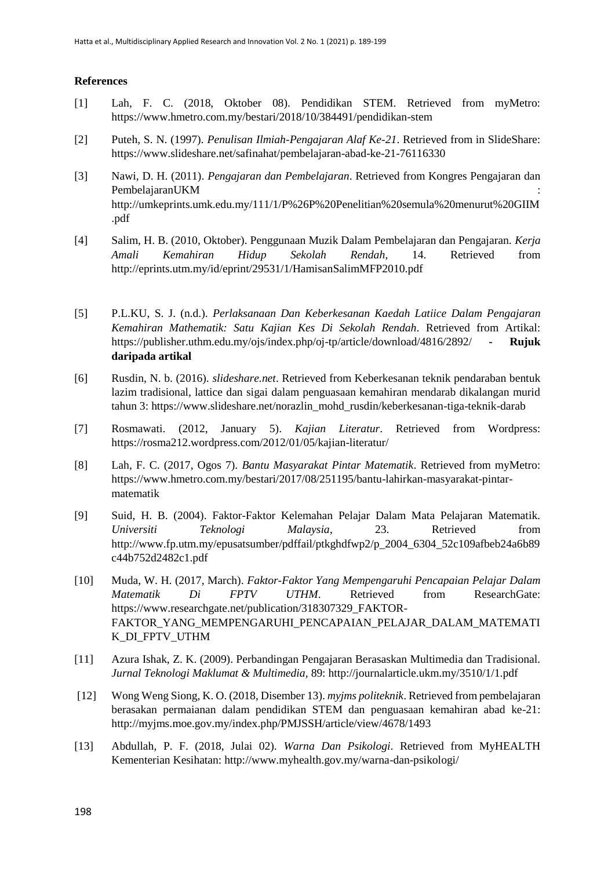## **References**

- [1] Lah, F. C. (2018, Oktober 08). Pendidikan STEM. Retrieved from myMetro: https://www.hmetro.com.my/bestari/2018/10/384491/pendidikan-stem
- [2] Puteh, S. N. (1997). *Penulisan Ilmiah-Pengajaran Alaf Ke-21*. Retrieved from in SlideShare: https://www.slideshare.net/safinahat/pembelajaran-abad-ke-21-76116330
- [3] Nawi, D. H. (2011). *Pengajaran dan Pembelajaran*. Retrieved from Kongres Pengajaran dan PembelajaranUKM : http://umkeprints.umk.edu.my/111/1/P%26P%20Penelitian%20semula%20menurut%20GIIM .pdf
- [4] Salim, H. B. (2010, Oktober). Penggunaan Muzik Dalam Pembelajaran dan Pengajaran. *Kerja Amali Kemahiran Hidup Sekolah Rendah*, 14. Retrieved from http://eprints.utm.my/id/eprint/29531/1/HamisanSalimMFP2010.pdf
- [5] P.L.KU, S. J. (n.d.). *Perlaksanaan Dan Keberkesanan Kaedah Latiice Dalam Pengajaran Kemahiran Mathematik: Satu Kajian Kes Di Sekolah Rendah*. Retrieved from Artikal: https://publisher.uthm.edu.my/ojs/index.php/oj-tp/article/download/4816/2892/ **- Rujuk daripada artikal**
- [6] Rusdin, N. b. (2016). *slideshare.net*. Retrieved from Keberkesanan teknik pendaraban bentuk lazim tradisional, lattice dan sigai dalam penguasaan kemahiran mendarab dikalangan murid tahun 3: https://www.slideshare.net/norazlin\_mohd\_rusdin/keberkesanan-tiga-teknik-darab
- [7] Rosmawati. (2012, January 5). *Kajian Literatur*. Retrieved from Wordpress: https://rosma212.wordpress.com/2012/01/05/kajian-literatur/
- [8] Lah, F. C. (2017, Ogos 7). *Bantu Masyarakat Pintar Matematik*. Retrieved from myMetro: https://www.hmetro.com.my/bestari/2017/08/251195/bantu-lahirkan-masyarakat-pintarmatematik
- [9] Suid, H. B. (2004). Faktor-Faktor Kelemahan Pelajar Dalam Mata Pelajaran Matematik. *Universiti Teknologi Malaysia*, 23. Retrieved from http://www.fp.utm.my/epusatsumber/pdffail/ptkghdfwp2/p\_2004\_6304\_52c109afbeb24a6b89 c44b752d2482c1.pdf
- [10] Muda, W. H. (2017, March). *Faktor-Faktor Yang Mempengaruhi Pencapaian Pelajar Dalam Matematik Di FPTV UTHM*. Retrieved from ResearchGate: https://www.researchgate.net/publication/318307329\_FAKTOR-FAKTOR\_YANG\_MEMPENGARUHI\_PENCAPAIAN\_PELAJAR\_DALAM\_MATEMATI K\_DI\_FPTV\_UTHM
- [11] Azura Ishak, Z. K. (2009). Perbandingan Pengajaran Berasaskan Multimedia dan Tradisional. *Jurnal Teknologi Maklumat & Multimedia*, 89: http://journalarticle.ukm.my/3510/1/1.pdf
- [12] Wong Weng Siong, K. O. (2018, Disember 13). *myjms politeknik*. Retrieved from pembelajaran berasakan permaianan dalam pendidikan STEM dan penguasaan kemahiran abad ke-21: http://myjms.moe.gov.my/index.php/PMJSSH/article/view/4678/1493
- [13] Abdullah, P. F. (2018, Julai 02). *Warna Dan Psikologi*. Retrieved from MyHEALTH Kementerian Kesihatan: http://www.myhealth.gov.my/warna-dan-psikologi/